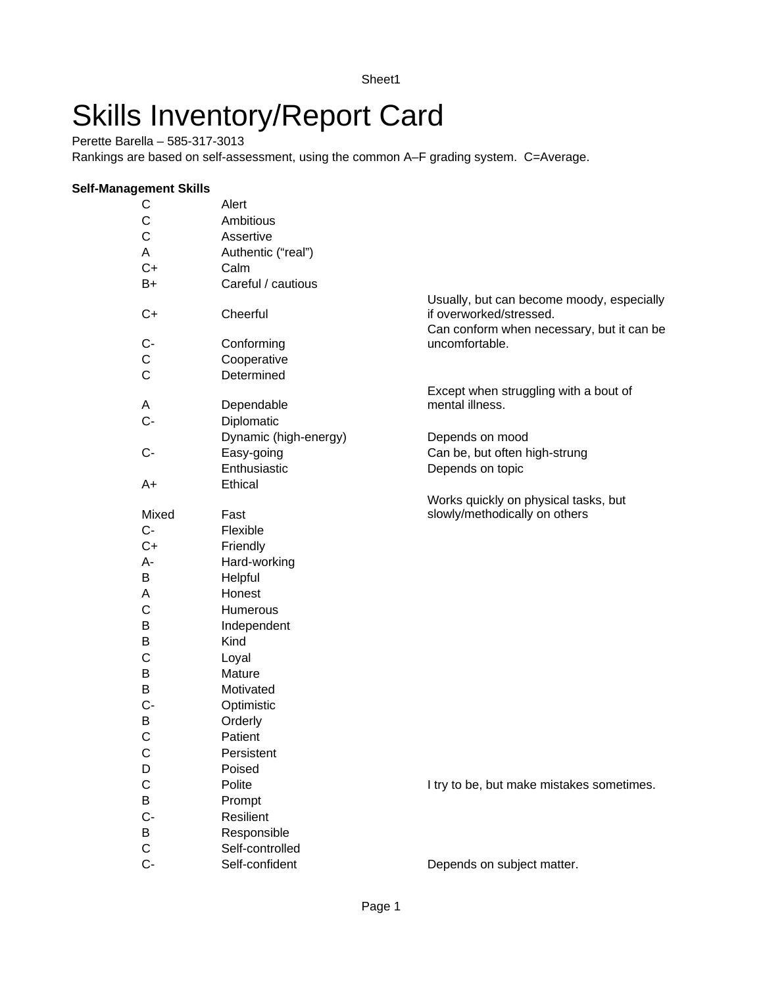# Skills Inventory/Report Card

Perette Barella – 585-317-3013

Rankings are based on self-assessment, using the common A–F grading system. C=Average.

#### **Self-Management Skills**

| C            | Alert                 |                                           |
|--------------|-----------------------|-------------------------------------------|
| C            | Ambitious             |                                           |
| C            | Assertive             |                                           |
| A            | Authentic ("real")    |                                           |
| $C+$         | Calm                  |                                           |
| $B+$         | Careful / cautious    |                                           |
|              |                       | Usually, but can become moody, especially |
| $C+$         | Cheerful              | if overworked/stressed.                   |
|              |                       | Can conform when necessary, but it can be |
| C-           | Conforming            | uncomfortable.                            |
| С            | Cooperative           |                                           |
| $\mathsf{C}$ | Determined            |                                           |
|              |                       | Except when struggling with a bout of     |
| A            | Dependable            | mental illness.                           |
| C-           | Diplomatic            |                                           |
|              | Dynamic (high-energy) | Depends on mood                           |
| С-           | Easy-going            | Can be, but often high-strung             |
|              | Enthusiastic          | Depends on topic                          |
| A+           | Ethical               |                                           |
|              |                       | Works quickly on physical tasks, but      |
| Mixed        | Fast                  | slowly/methodically on others             |
| $C-$         | Flexible              |                                           |
| $C+$         | Friendly              |                                           |
| A-           | Hard-working          |                                           |
| В            | Helpful               |                                           |
| A            | Honest                |                                           |
| C            | Humerous              |                                           |
| B            | Independent           |                                           |
| В            | Kind                  |                                           |
| С            | Loyal                 |                                           |
| В            | Mature                |                                           |
| В            | Motivated             |                                           |
| C-           | Optimistic            |                                           |
| B            | Orderly               |                                           |
| C            | Patient               |                                           |
| C            | Persistent            |                                           |
| D            | Poised                |                                           |
| С            | Polite                | I try to be, but make mistakes sometimes. |
| B            | Prompt                |                                           |
| $C -$        | Resilient             |                                           |
| B            | Responsible           |                                           |
| $\mathsf C$  | Self-controlled       |                                           |
| $C -$        | Self-confident        | Depends on subject matter.                |
|              |                       |                                           |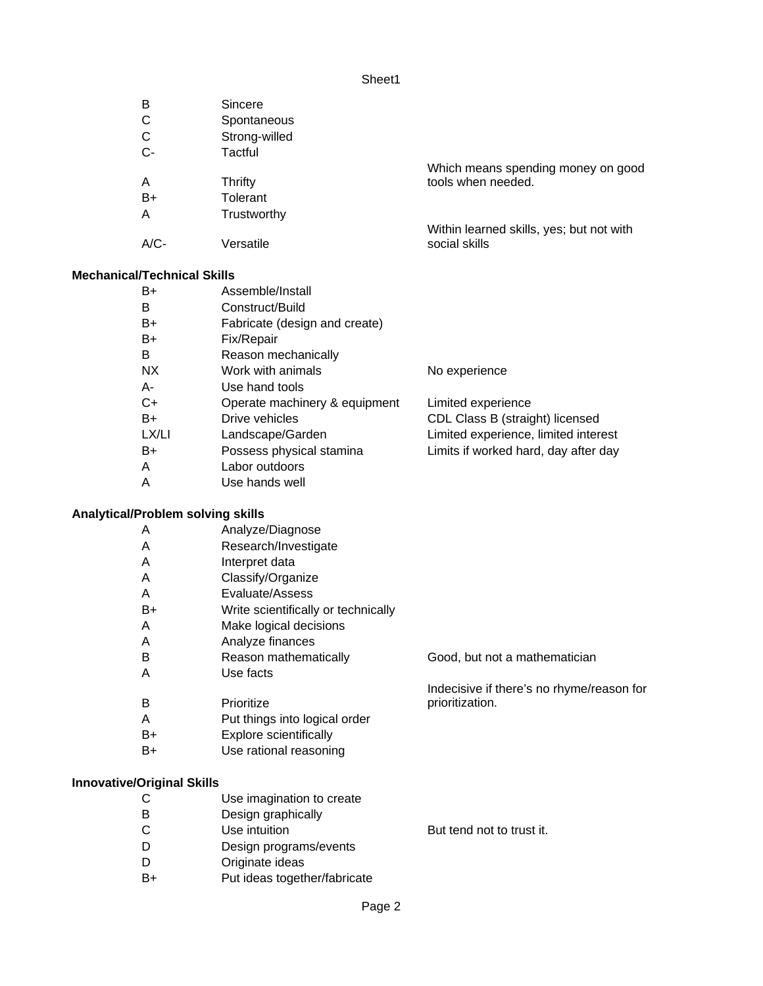| B                  | Sincere       |                                          |
|--------------------|---------------|------------------------------------------|
| C                  | Spontaneous   |                                          |
| C                  | Strong-willed |                                          |
| $C-$               | Tactful       |                                          |
|                    |               | Which means spending money on good       |
| A                  | Thrifty       | tools when needed.                       |
| $B+$               | Tolerant      |                                          |
| A                  | Trustworthy   |                                          |
|                    |               | Within learned skills, yes; but not with |
| $A/C-$             | Versatile     | social skills                            |
| I/Technical Skills |               |                                          |
| $\sim$ $\sim$      |               |                                          |

## **Mechanical**

| Assemble/Install              |                                      |  |  |
|-------------------------------|--------------------------------------|--|--|
| Construct/Build               |                                      |  |  |
| Fabricate (design and create) |                                      |  |  |
| Fix/Repair                    |                                      |  |  |
| Reason mechanically           |                                      |  |  |
| Work with animals             | No experience                        |  |  |
| Use hand tools                |                                      |  |  |
| Operate machinery & equipment | Limited experience                   |  |  |
| Drive vehicles                | CDL Class B (straight) licensed      |  |  |
| Landscape/Garden              | Limited experience, limited interest |  |  |
| Possess physical stamina      | Limits if worked hard, day after day |  |  |
| Labor outdoors                |                                      |  |  |
| Use hands well                |                                      |  |  |
|                               |                                      |  |  |

# **Analytical/Problem solving skills**

| A                                 | Analyze/Diagnose                    |                                           |
|-----------------------------------|-------------------------------------|-------------------------------------------|
| A                                 | Research/Investigate                |                                           |
| A                                 | Interpret data                      |                                           |
| A                                 | Classify/Organize                   |                                           |
| A                                 | Evaluate/Assess                     |                                           |
| B+                                | Write scientifically or technically |                                           |
| A                                 | Make logical decisions              |                                           |
| A                                 | Analyze finances                    |                                           |
| B                                 | Reason mathematically               | Good, but not a mathematician             |
| A                                 | Use facts                           |                                           |
|                                   |                                     | Indecisive if there's no rhyme/reason for |
| B                                 | Prioritize                          | prioritization.                           |
| A                                 | Put things into logical order       |                                           |
| B+                                | Explore scientifically              |                                           |
| B+                                | Use rational reasoning              |                                           |
|                                   |                                     |                                           |
| <b>Innovative/Original Skills</b> |                                     |                                           |
| С                                 | Use imagination to create           |                                           |
| B                                 | Design graphically                  |                                           |
| С                                 | Use intuition                       | But tend not to trust it.                 |
| D                                 | Design programs/events              |                                           |
| D                                 | Originate ideas                     |                                           |
| B+                                | Put ideas together/fabricate        |                                           |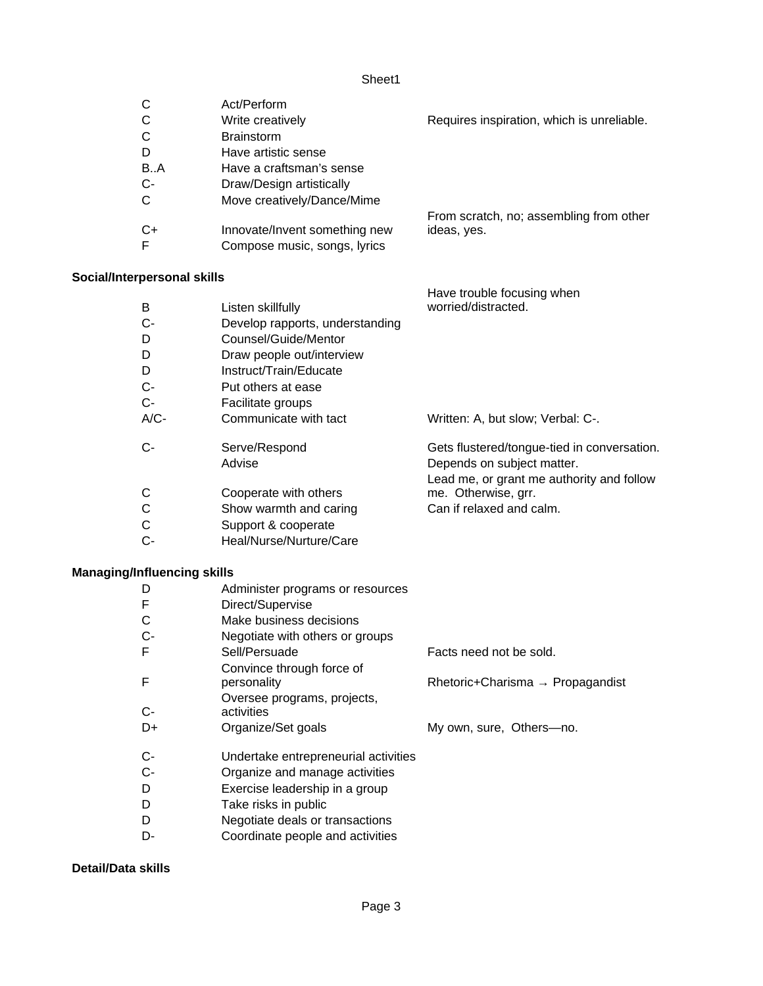| С                           | Act/Perform                     |                                            |
|-----------------------------|---------------------------------|--------------------------------------------|
| С                           | Write creatively                | Requires inspiration, which is unreliable. |
| С                           | <b>Brainstorm</b>               |                                            |
| D                           | Have artistic sense             |                                            |
| B.A                         | Have a craftsman's sense        |                                            |
| C-                          | Draw/Design artistically        |                                            |
| С                           | Move creatively/Dance/Mime      |                                            |
|                             |                                 | From scratch, no; assembling from other    |
| C+                          | Innovate/Invent something new   | ideas, yes.                                |
| F                           | Compose music, songs, lyrics    |                                            |
|                             |                                 |                                            |
| Social/Interpersonal skills |                                 |                                            |
|                             |                                 | Have trouble focusing when                 |
| B                           | Listen skillfully               | worried/distracted.                        |
| С-                          | Develop rapports, understanding |                                            |

- D Counsel/Guide/Mentor
- D Draw people out/interview
- D Instruct/Train/Educate
- C- Put others at ease
- C- Facilitate groups
- A/C- Communicate with tact Written: A, but slow; Verbal: C-.
- C- Serve/Respond Gets flustered/tongue-tied in conversation. Advise **Depends** on subject matter. C Cooperate with others Lead me, or grant me authority and follow me. Otherwise, grr.
- C Show warmth and caring Can if relaxed and calm.
- C Support & cooperate
- C- Heal/Nurse/Nurture/Care

## **Managing/Influencing skills**

| D    | Administer programs or resources     |                                              |
|------|--------------------------------------|----------------------------------------------|
| F    | Direct/Supervise                     |                                              |
|      | Make business decisions              |                                              |
| $C-$ | Negotiate with others or groups      |                                              |
| F    | Sell/Persuade                        | Facts need not be sold.                      |
|      | Convince through force of            |                                              |
| F    | personality                          | Rhetoric+Charisma $\rightarrow$ Propagandist |
|      | Oversee programs, projects,          |                                              |
| $C-$ | activities                           |                                              |
| D+   | Organize/Set goals                   | My own, sure, Others-no.                     |
|      |                                      |                                              |
| $C-$ | Undertake entrepreneurial activities |                                              |
| $C-$ | Organize and manage activities       |                                              |
| D    | Exercise leadership in a group       |                                              |
| D    | Take risks in public                 |                                              |
| -    |                                      |                                              |

- D Negotiate deals or transactions
- D- Coordinate people and activities

#### **Detail/Data skills**